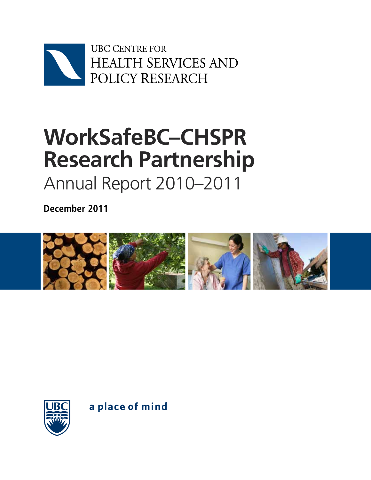

# **WorkSafeBC–CHSPR Research Partnership** Annual Report 2010–2011

**December 2011**





a place of mind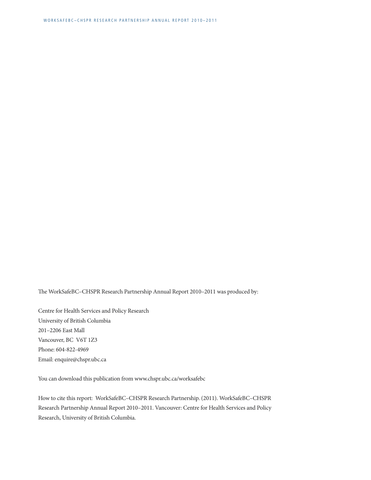The WorkSafeBC–CHSPR Research Partnership Annual Report 2010–2011 was produced by:

Centre for Health Services and Policy Research University of British Columbia 201–2206 East Mall Vancouver, BC V6T 1Z3 Phone: 604-822-4969 Email: enquire@chspr.ubc.ca

You can download this publication from www.chspr.ubc.ca/worksafebc

How to cite this report: WorkSafeBC–CHSPR Research Partnership. (2011). WorkSafeBC–CHSPR Research Partnership Annual Report 2010–2011. Vancouver: Centre for Health Services and Policy Research, University of British Columbia.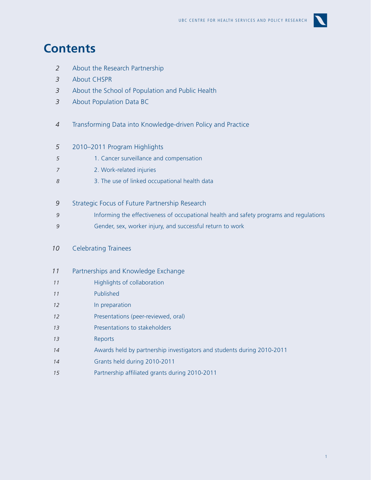

### **Contents**

- [About the Research Partnership](#page-3-0) *2*
- [About CHSPR](#page-4-0) *3*
- [About t](#page-4-0)he School of Population and Public Health *3*
- [About Population Data BC](#page-4-0) *3*
- Transforming Data into Knowledge-driven Policy and Practice *4*
- [2010–2011 Program Highlights](#page-6-0) *5*
- [1. Cancer surveillance and compensation](#page-6-0) *5*
- [2. Work-related injuries](#page-8-0) *7*
- [3. The use of linked occupational health data](#page-9-0) *8*
- [Strategic Focus of Future Partnership Research](#page-10-0) *9*
- [Informing the effectiveness of occupational health and safety programs and regulations](#page-10-0) *9*
- [Gender, sex, worker injury, and successful return to work](#page-10-0) *9*
- [Celebrating Trainees](#page-11-0) *10*
- [Partnerships and Knowledge Exchange](#page-12-0) *11*
- [Highlights of collaboration](#page-12-0)  *11*
- [Published](#page-12-0) *11*
- [In preparation](#page-13-0) *12*
- [Presentations \(peer-reviewed, oral\)](#page-13-0) *12*
- [Presentations to stakeholders](#page-14-0) *13*
- [Reports](#page-14-0) *13*
- [Awards held by partnership investigators and students during 2010-2011](#page-15-0) *14*
- [Grants held during 2010-2011](#page-15-0) *14*
- [Partnership affiliated grants during 2010-2011](#page-16-0) *15*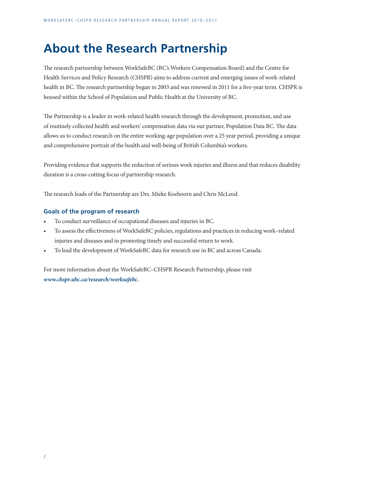### <span id="page-3-0"></span>**About the Research Partnership**

The research partnership between WorkSafeBC (BC's Workers Compensation Board) and the Centre for Health Services and Policy Research (CHSPR) aims to address current and emerging issues of work-related health in BC. The research partnership began in 2003 and was renewed in 2011 for a five-year term. CHSPR is housed within the School of Population and Public Health at the University of BC.

The Partnership is a leader in work-related health research through the development, promotion, and use of routinely collected health and workers' compensation data via our partner, Population Data BC. The data allows us to conduct research on the entire working-age population over a 25 year period, providing a unique and comprehensive portrait of the health and well-being of British Columbia's workers.

Providing evidence that supports the reduction of serious work injuries and illness and that reduces disability duration is a cross-cutting focus of partnership research.

The research leads of the Partnership are Drs. Mieke Koehoorn and Chris McLeod.

#### **Goals of the program of research**

- To conduct surveillance of occupational diseases and injuries in BC.
- To assess the effectiveness of WorkSafeBC policies, regulations and practices in reducing work-related injuries and diseases and in promoting timely and successful return to work.
- To lead the development of WorkSafeBC data for research use in BC and across Canada.

For more information about the WorkSafeBC–CHSPR Research Partnership, please visit *www.chspr.ubc.ca/research/worksafebc.*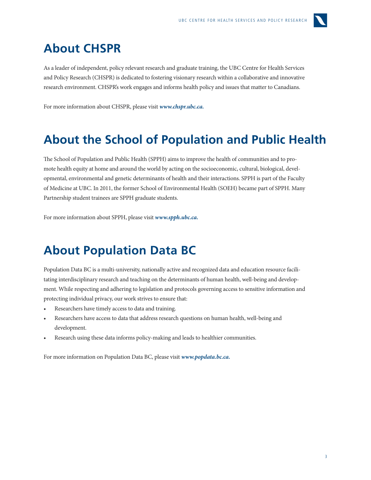

### <span id="page-4-0"></span>**About CHSPR**

As a leader of independent, policy relevant research and graduate training, the UBC Centre for Health Services and Policy Research (CHSPR) is dedicated to fostering visionary research within a collaborative and innovative research environment. CHSPR's work engages and informs health policy and issues that matter to Canadians.

For more information about CHSPR, please visit *www.chspr.ubc.ca.*

### **About the School of Population and Public Health**

The School of Population and Public Health (SPPH) aims to improve the health of communities and to promote health equity at home and around the world by acting on the socioeconomic, cultural, biological, developmental, environmental and genetic determinants of health and their interactions. SPPH is part of the Faculty of Medicine at UBC. In 2011, the former School of Environmental Health (SOEH) became part of SPPH. Many Partnership student trainees are SPPH graduate students.

For more information about SPPH, please visit *www.spph.ubc.ca.*

### **About Population Data BC**

Population Data BC is a multi-university, nationally active and recognized data and education resource facilitating interdisciplinary research and teaching on the determinants of human health, well-being and development. While respecting and adhering to legislation and protocols governing access to sensitive information and protecting individual privacy, our work strives to ensure that:

- Researchers have timely access to data and training.
- Researchers have access to data that address research questions on human health, well-being and development.
- Research using these data informs policy-making and leads to healthier communities.

For more information on Population Data BC, please visit *www.popdata.bc.ca.*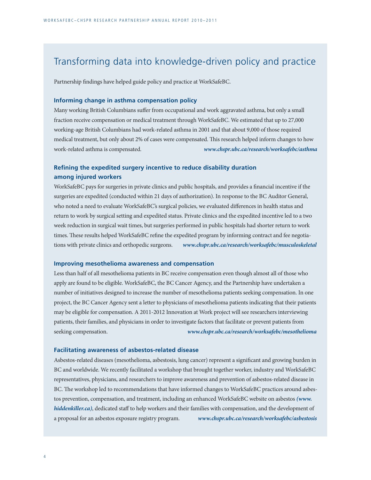### Transforming data into knowledge-driven policy and practice

Partnership findings have helped guide policy and practice at WorkSafeBC.

#### **Informing change in asthma compensation policy**

Many working British Columbians suffer from occupational and work aggravated asthma, but only a small fraction receive compensation or medical treatment through WorkSafeBC. We estimated that up to 27,000 working-age British Columbians had work-related asthma in 2001 and that about 9,000 of those required medical treatment, but only about 2% of cases were compensated. This research helped inform changes to how work-related asthma is compensated. *www.chspr.ubc.ca/research/worksafebc/asthma*

#### **Refining the expedited surgery incentive to reduce disability duration among injured workers**

WorkSafeBC pays for surgeries in private clinics and public hospitals, and provides a financial incentive if the surgeries are expedited (conducted within 21 days of authorization). In response to the BC Auditor General, who noted a need to evaluate WorkSafeBC's surgical policies, we evaluated differences in health status and return to work by surgical setting and expedited status. Private clinics and the expedited incentive led to a two week reduction in surgical wait times, but surgeries performed in public hospitals had shorter return to work times. These results helped WorkSafeBC refine the expedited program by informing contract and fee negotiations with private clinics and orthopedic surgeons. *www.chspr.ubc.ca/research/worksafebc/musculoskeletal*

#### **Improving mesothelioma awareness and compensation**

Less than half of all mesothelioma patients in BC receive compensation even though almost all of those who apply are found to be eligible. WorkSafeBC, the BC Cancer Agency, and the Partnership have undertaken a number of initiatives designed to increase the number of mesothelioma patients seeking compensation. In one project, the BC Cancer Agency sent a letter to physicians of mesothelioma patients indicating that their patients may be eligible for compensation. A 2011-2012 Innovation at Work project will see researchers interviewing patients, their families, and physicians in order to investigate factors that facilitate or prevent patients from seeking compensation. *www.chspr.ubc.ca/research/worksafebc/mesothelioma*

#### **Facilitating awareness of asbestos-related disease**

Asbestos-related diseases (mesothelioma, asbestosis, lung cancer) represent a significant and growing burden in BC and worldwide. We recently facilitated a workshop that brought together worker, industry and WorkSafeBC representatives, physicians, and researchers to improve awareness and prevention of asbestos-related disease in BC. The workshop led to recommendations that have informed changes to WorkSafeBC practices around asbestos prevention, compensation, and treatment, including an enhanced WorkSafeBC website on asbestos *(www. hiddenkiller.ca)*, dedicated staff to help workers and their families with compensation, and the development of a proposal for an asbestos exposure registry program. *www.chspr.ubc.ca/research/worksafebc/asbestosis*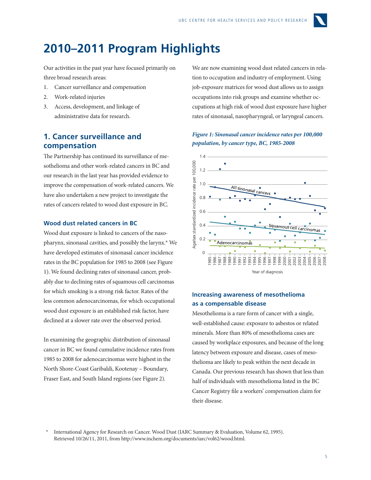

### <span id="page-6-0"></span>**2010–2011 Program Highlights**

Our activities in the past year have focused primarily on three broad research areas:

- 1. Cancer surveillance and compensation
- 2. Work-related injuries
- 3. Access, development, and linkage of administrative data for research.

#### **1. Cancer surveillance and compensation**

The Partnership has continued its surveillance of mesothelioma and other work-related cancers in BC and our research in the last year has provided evidence to improve the compensation of work-related cancers. We have also undertaken a new project to investigate the rates of cancers related to wood dust exposure in BC.

#### **Wood dust related cancers in BC**

Wood dust exposure is linked to cancers of the nasopharynx, sinonasal cavities, and possibly the larynx.\* We have developed estimates of sinonasal cancer incidence rates in the BC population for 1985 to 2008 (see Figure 1). We found declining rates of sinonasal cancer, probably due to declining rates of squamous cell carcinomas for which smoking is a strong risk factor. Rates of the less common adenocarcinomas, for which occupational wood dust exposure is an established risk factor, have declined at a slower rate over the observed period.

In examining the geographic distribution of sinonasal cancer in BC we found cumulative incidence rates from 1985 to 2008 for adenocarcinomas were highest in the North Shore-Coast Garibaldi, Kootenay – Boundary, Fraser East, and South Island regions (see Figure 2).

We are now examining wood dust related cancers in relation to occupation and industry of employment. Using job-exposure matrices for wood dust allows us to assign occupations into risk groups and examine whether occupations at high risk of wood dust exposure have higher rates of sinonasal, nasopharyngeal, or laryngeal cancers.

#### *Figure 1: Sinonasal cancer incidence rates per 100,000 population, by cancer type, BC, 1985-2008*



#### **Increasing awareness of mesothelioma as a compensable disease** 80

Mesothelioma is a rare form of cancer with a single, well-established cause: exposure to asbestos or related minerals. More than 80% of mesothelioma cases are caused by workplace exposures, and because of the long latency between exposure and disease, cases of mesothelioma are likely to peak within the next decade in Canada. Our previous research has shown that less than half of individuals with mesothelioma listed in the BC Cancer Registry file a workers' compensation claim for their disease. Wm<br>Cala<br>h: ıted

International Agency for Research on Cancer. Wood Dust (IARC Summary & Evaluation, Volume 62, 1995). Retrieved 10/26/11, 2011, from http://www.inchem.org/documents/iarc/vol62/wood.html.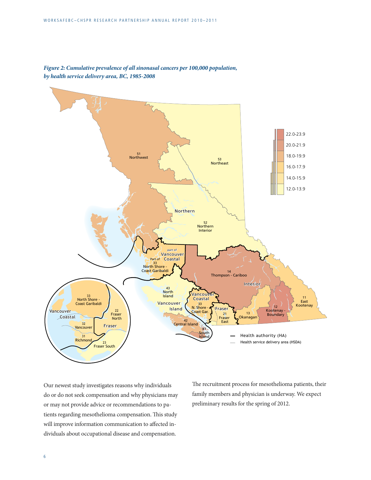

*Figure 2: Cumulative prevalence of all sinonasal cancers per 100,000 population, by health service delivery area, BC, 1985-2008*

Our newest study investigates reasons why individuals do or do not seek compensation and why physicians may or may not provide advice or recommendations to patients regarding mesothelioma compensation. This study will improve information communication to affected individuals about occupational disease and compensation.

The recruitment process for mesothelioma patients, their family members and physician is underway. We expect preliminary results for the spring of 2012.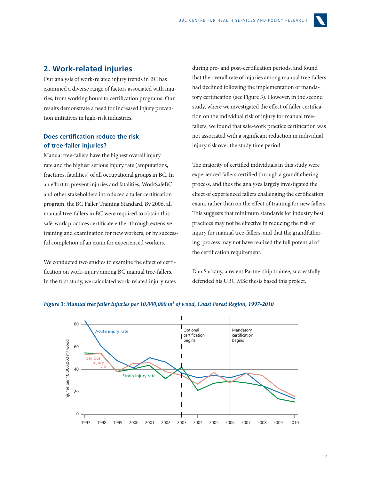

#### <span id="page-8-0"></span>**2. Work-related injuries**

Our analysis of work-related injury trends in BC has examined a diverse range of factors associated with injuries, from working hours to certification programs. Our results demonstrate a need for increased injury prevention initiatives in high-risk industries.

#### **Does certification reduce the risk of tree-faller injuries?**

Manual tree-fallers have the highest overall injury rate and the highest serious injury rate (amputations, fractures, fatalities) of all occupational groups in BC. In an effort to prevent injuries and fatalities, WorkSafeBC 1.2 and other stakeholders introduced a faller certification program, the BC Faller Training Standard. By 2006, all manual tree-fallers in BC were required to obtain this safe-work practices certificate either through extensive training and examination for new workers, or by successful completion of an exam for experienced workers.  $\qquad \qquad$  i Age/sex standardized incidence rate per 100,000

We conducted two studies to examine the effect of certification on work-injury among BC manual tree-fallers. In the first study, we calculated work-related injury rates

during pre- and post-certification periods, and found that the overall rate of injuries among manual tree-fallers had declined following the implementation of mandatory certification (see Figure 3). However, in the second study, where we investigated the effect of faller certification on the individual risk of injury for manual treefallers, we found that safe-work practice certification was not associated with a significant reduction in individual injury risk over the study time period.

The majority of certified individuals in this study were experienced fallers certified through a grandfathering process, and thus the analyses largely investigated the effect of experienced fallers challenging the certification exam, rather than on the effect of training for new fallers. This suggests that minimum standards for industry best practices may not be effective in reducing the risk of injury for manual tree-fallers, and that the grandfathering process may not have realized the full potential of the certification requirement.

Dan Sarkany, a recent Partnership trainee, successfully defended his UBC MSc thesis based this project.



#### *Figure 3: Manual tree faller injuries per 10,000,000 m3 of wood, Coast Forest Region, 1997-2010*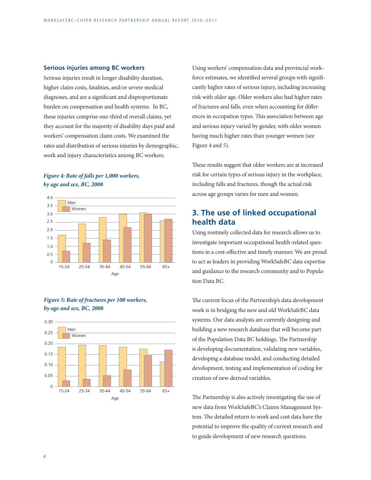#### <span id="page-9-0"></span>**Serious injuries among BC workers**

Serious injuries result in longer disability duration, higher claim costs, fatalities, and/or severe medical diagnoses, and are a significant and disproportionate burden on compensation and health systems. In BC, these injuries comprise one-third of overall claims, yet they account for the majority of disability days paid and workers' compensation claim costs. We examined the rates and distribution of serious injuries by demographic, work and injury characteristics among BC workers. 2002 2003 2004 2005 2006 2007 2008 2009 2010 o R<br> **er**<br>
eri igl<br>
iag<br>
urdes<br>
nes<br>
vor<br>
ate seo, air n comp

#### *Figure 4: Rate of falls per 1,000 workers, by age and sex, BC, 2008*



#### *Figure 5: Rate of fractures per 100 workers,*  by age and sex, BC, 2008



Using workers' compensation data and provincial workforce estimates, we identified several groups with significantly higher rates of serious injury, including increasing risk with older age. Older workers also had higher rates of fractures and falls, even when accounting for differences in occupation types. This association between age and serious injury varied by gender, with older women having much higher rates than younger women (see Figure 4 and 5). workers

These results suggest that older workers are at increased risk for certain types of serious injury in the workplace, including falls and fractures, though the actual risk across age groups varies for men and women.

#### **3. The use of linked occupational health data**

Using routinely collected data for research allows us to investigate important occupational health-related questions in a cost-effective and timely manner. We are proud to act as leaders in providing WorkSafeBC data expertise and guidance to the research community and to Population Data BC.

The current focus of the Partnership's data development work is in bridging the new and old WorkSafeBC data systems. Our data analysts are currently designing and building a new research database that will become part of the Population Data BC holdings. The Partnership is developing documentation, validating new variables, developing a database model, and conducting detailed development, testing and implementation of coding for creation of new derived variables.

The Partnership is also actively investigating the use of new data from WorkSafeBC's Claims Management System. The detailed return to work and cost data have the potential to improve the quality of current research and to guide development of new research questions.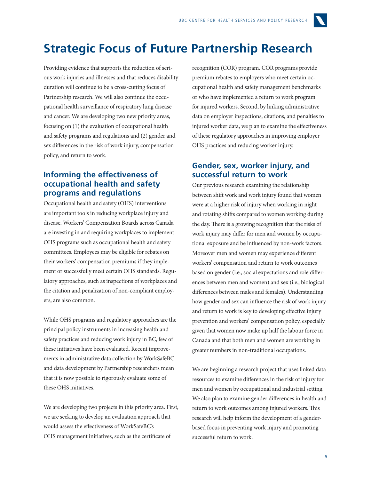## <span id="page-10-0"></span>**Strategic Focus of Future Partnership Research**

Providing evidence that supports the reduction of serious work injuries and illnesses and that reduces disability duration will continue to be a cross-cutting focus of Partnership research. We will also continue the occupational health surveillance of respiratory lung disease and cancer. We are developing two new priority areas, focusing on (1) the evaluation of occupational health and safety programs and regulations and (2) gender and sex differences in the risk of work injury, compensation policy, and return to work.

#### **Informing the effectiveness of occupational health and safety programs and regulations**

Occupational health and safety (OHS) interventions are important tools in reducing workplace injury and disease. Workers' Compensation Boards across Canada are investing in and requiring workplaces to implement OHS programs such as occupational health and safety committees. Employees may be eligible for rebates on their workers' compensation premiums if they implement or successfully meet certain OHS standards. Regulatory approaches, such as inspections of workplaces and the citation and penalization of non-compliant employers, are also common.

While OHS programs and regulatory approaches are the principal policy instruments in increasing health and safety practices and reducing work injury in BC, few of these initiatives have been evaluated. Recent improvements in administrative data collection by WorkSafeBC and data development by Partnership researchers mean that it is now possible to rigorously evaluate some of these OHS initiatives.

We are developing two projects in this priority area. First, we are seeking to develop an evaluation approach that would assess the effectiveness of WorkSafeBC's OHS management initiatives, such as the certificate of

recognition (COR) program. COR programs provide premium rebates to employers who meet certain occupational health and safety management benchmarks or who have implemented a return to work program for injured workers. Second, by linking administrative data on employer inspections, citations, and penalties to injured worker data, we plan to examine the effectiveness of these regulatory approaches in improving employer OHS practices and reducing worker injury.

#### **Gender, sex, worker injury, and successful return to work**

Our previous research examining the relationship between shift work and work injury found that women were at a higher risk of injury when working in night and rotating shifts compared to women working during the day. There is a growing recognition that the risks of work injury may differ for men and women by occupational exposure and be influenced by non-work factors. Moreover men and women may experience different workers' compensation and return to work outcomes based on gender (i.e., social expectations and role differences between men and women) and sex (i.e., biological differences between males and females). Understanding how gender and sex can influence the risk of work injury and return to work is key to developing effective injury prevention and workers' compensation policy, especially given that women now make up half the labour force in Canada and that both men and women are working in greater numbers in non-traditional occupations.

We are beginning a research project that uses linked data resources to examine differences in the risk of injury for men and women by occupational and industrial setting. We also plan to examine gender differences in health and return to work outcomes among injured workers. This research will help inform the development of a genderbased focus in preventing work injury and promoting successful return to work.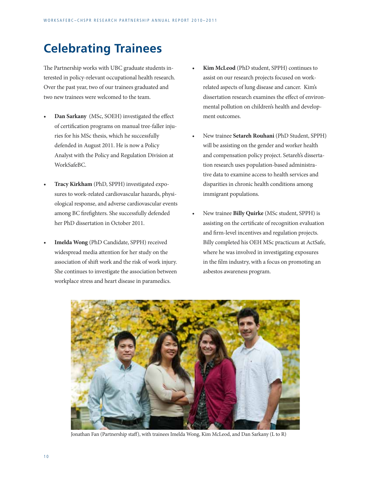### <span id="page-11-0"></span>**Celebrating Trainees**

The Partnership works with UBC graduate students interested in policy-relevant occupational health research. Over the past year, two of our trainees graduated and two new trainees were welcomed to the team.

- **Dan Sarkany** (MSc, SOEH) investigated the effect of certification programs on manual tree-faller injuries for his MSc thesis, which he successfully defended in August 2011. He is now a Policy Analyst with the Policy and Regulation Division at WorkSafeBC.
- **Tracy Kirkham** (PhD, SPPH) investigated exposures to work-related cardiovascular hazards, physiological response, and adverse cardiovascular events among BC firefighters. She successfully defended her PhD dissertation in October 2011.
- **Imelda Wong** (PhD Candidate, SPPH) received widespread media attention for her study on the association of shift work and the risk of work injury. She continues to investigate the association between workplace stress and heart disease in paramedics.
- **Kim McLeod** (PhD student, SPPH) continues to assist on our research projects focused on workrelated aspects of lung disease and cancer. Kim's dissertation research examines the effect of environmental pollution on children's health and development outcomes.
- New trainee **Setareh Rouhani** (PhD Student, SPPH) will be assisting on the gender and worker health and compensation policy project. Setareh's dissertation research uses population-based administrative data to examine access to health services and disparities in chronic health conditions among immigrant populations.
- New trainee **Billy Quirke** (MSc student, SPPH) is assisting on the certificate of recognition evaluation and firm-level incentives and regulation projects. Billy completed his OEH MSc practicum at ActSafe, where he was involved in investigating exposures in the film industry, with a focus on promoting an asbestos awareness program.



Jonathan Fan (Partnership staff), with trainees Imelda Wong, Kim McLeod, and Dan Sarkany (L to R)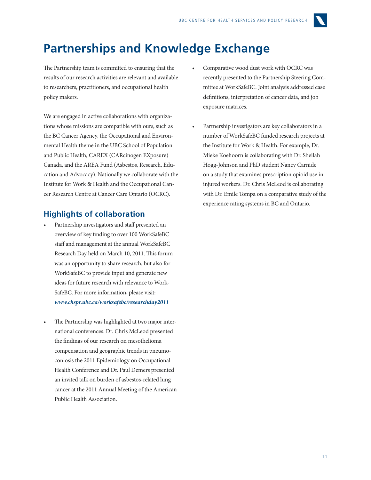

### <span id="page-12-0"></span>**Partnerships and Knowledge Exchange**

The Partnership team is committed to ensuring that the results of our research activities are relevant and available to researchers, practitioners, and occupational health policy makers.

We are engaged in active collaborations with organizations whose missions are compatible with ours, such as the BC Cancer Agency, the Occupational and Environmental Health theme in the UBC School of Population and Public Health, CAREX (CARcinogen EXposure) Canada, and the AREA Fund (Asbestos, Research, Education and Advocacy). Nationally we collaborate with the Institute for Work & Health and the Occupational Cancer Research Centre at Cancer Care Ontario (OCRC).

#### **Highlights of collaboration**

- Partnership investigators and staff presented an overview of key finding to over 100 WorkSafeBC staff and management at the annual WorkSafeBC Research Day held on March 10, 2011. This forum was an opportunity to share research, but also for WorkSafeBC to provide input and generate new ideas for future research with relevance to Work-SafeBC. For more information, please visit: *www.chspr.ubc.ca/worksafebc/researchday2011*
- The Partnership was highlighted at two major international conferences. Dr. Chris McLeod presented the findings of our research on mesothelioma compensation and geographic trends in pneumoconiosis the 2011 Epidemiology on Occupational Health Conference and Dr. Paul Demers presented an invited talk on burden of asbestos-related lung cancer at the 2011 Annual Meeting of the American Public Health Association.
- Comparative wood dust work with OCRC was recently presented to the Partnership Steering Committee at WorkSafeBC. Joint analysis addressed case definitions, interpretation of cancer data, and job exposure matrices.
- Partnership investigators are key collaborators in a number of WorkSafeBC funded research projects at the Institute for Work & Health. For example, Dr. Mieke Koehoorn is collaborating with Dr. Sheilah Hogg-Johnson and PhD student Nancy Carnide on a study that examines prescription opioid use in injured workers. Dr. Chris McLeod is collaborating with Dr. Emile Tompa on a comparative study of the experience rating systems in BC and Ontario.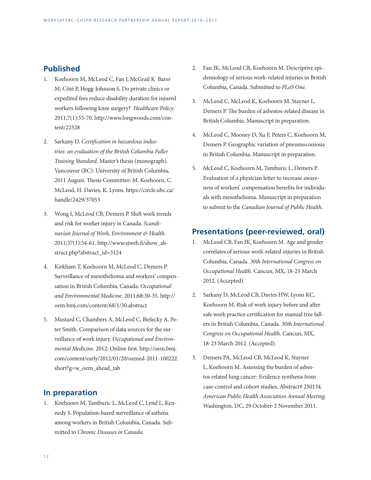#### <span id="page-13-0"></span>**Published**

- 1. Koehoorn M, McLeod C, Fan J, McGrail K Barer M, Côté P, Hogg-Johnson S. Do private clinics or expedited fees reduce disability duration for injured workers following knee surgery? *Healthcare Policy.*  2011;7(1):55-70. http://www.longwoods.com/content/22528
- 2. Sarkany D. *Certification in hazardous industries: an evaluation of the British Columbia Faller Training Standard.* Master's thesis (monograph). Vancouver (BC): University of British Columbia, 2011 August. Thesis Committee: M. Koehoorn, C. McLeod, H. Davies, K. Lyons. https://circle.ubc.ca/ handle/2429/37053
- 3. Wong I, McLeod CB, Demers P. Shift work trends and risk for worker injury in Canada. *Scandinavian Journal of Work, Environment & Health.*  2011;37(1):54-61. http://www.sjweh.fi/show\_abstract.php?abstract\_id=3124
- 4. Kirkham T, Koehoorn M, McLeod C, Demers P. Surveillance of mesothelioma and workers' compensation in British Columbia, Canada. *Occupational and Environmental Medicine.* 2011;68:30-35. http:// oem.bmj.com/content/68/1/30.abstract
- 5. Mustard C, Chambers A, McLeod C, Bielecky A, Peter Smith. Comparison of data sources for the surveillance of work injury. *Occupational and Environmental Medicine.* 2012; Online first. http://oem.bmj. com/content/early/2012/01/20/oemed-2011-100222. short?g=w\_oem\_ahead\_tab

#### **In preparation**

1. Koehoorn M, Tamburic L, McLeod C, Lynd L, Kennedy S. Population-based surveillance of asthma among workers in British Columbia, Canada. Submitted to *Chronic Diseases in Canada.*

- 2. Fan JK, McLeod CB, Koehoorn M. Descriptive epidemiology of serious work-related injuries in British Columbia, Canada. Submitted to *PLoS One.*
- 3. McLeod C, McLeod K, Koehoorn M, Stayner L, Demers P. The burden of asbestos-related disease in British Columbia. Manuscript in preparation.
- 4. McLeod C, Mooney D, Xu F, Peters C, Koehoorn M, Demers P. Geographic variation of pneumoconiosis in British Columbia. Manuscript in preparation.
- 5. McLeod C, Koehoorn M, Tamburic L, Demers P. Evaluation of a physician letter to increase awareness of workers' compensation benefits for individuals with mesothelioma. Manuscript in preparation to submit to the *Canadian Journal of Public Health.*

#### **Presentations (peer-reviewed, oral)**

- 1. McLeod CB, Fan JK, Koehoorn M. Age and gender correlates of serious work-related injuries in British Columbia, Canada. *30th International Congress on Occupational Health.* Cancun, MX, 18-23 March 2012. (Accepted).
- 2. Sarkany D, McLeod CB, Davies HW, Lyons KC, Koehoorn M. Risk of work injury before and after safe work practice certification for manual tree fallers in British Columbia, Canada. *30th International Congress on Occupational Health.* Cancun, MX, 18-23 March 2012. (Accepted).
- 3. Demers PA, McLeod CB, McLeod K, Stayner L, Koehoorn M. Assessing the burden of asbestos related lung cancer: Evidence synthesis from case-control and cohort studies. Abstract# 250134. *American Public Health Association Annual Meeting.*  Washington, DC, 29 October-2 November 2011.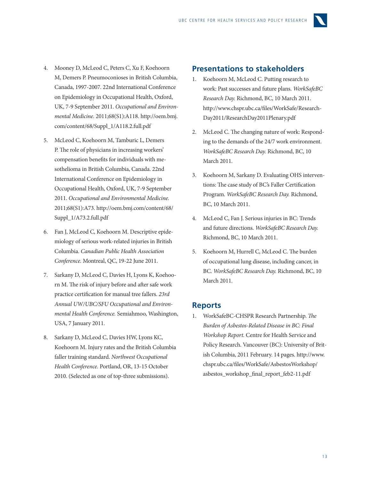

- <span id="page-14-0"></span>4. Mooney D, McLeod C, Peters C, Xu F, Koehoorn M, Demers P. Pneumoconioses in British Columbia, Canada, 1997-2007. 22nd International Conference on Epidemiology in Occupational Health, Oxford, UK, 7-9 September 2011. *Occupational and Environmental Medicine.* 2011;68(S1):A118. http://oem.bmj. com/content/68/Suppl\_1/A118.2.full.pdf
- 5. McLeod C, Koehoorn M, Tamburic L, Demers P. The role of physicians in increasing workers' compensation benefits for individuals with mesothelioma in British Columbia, Canada. 22nd International Conference on Epidemiology in Occupational Health, Oxford, UK, 7-9 September 2011. *Occupational and Environmental Medicine.*  2011;68(S1):A73. http://oem.bmj.com/content/68/ Suppl\_1/A73.2.full.pdf
- 6. Fan J, McLeod C, Koehoorn M. Descriptive epidemiology of serious work-related injuries in British Columbia. *Canadian Public Health Association Conference.* Montreal, QC, 19-22 June 2011.
- 7. Sarkany D, McLeod C, Davies H, Lyons K, Koehoorn M. The risk of injury before and after safe work practice certification for manual tree fallers. *23rd Annual UW/UBC/SFU Occupational and Environmental Health Conference.* Semiahmoo, Washington, USA, 7 January 2011.
- 8. Sarkany D, McLeod C, Davies HW, Lyons KC, Koehoorn M. Injury rates and the British Columbia faller training standard. *Northwest Occupational Health Conference.* Portland, OR, 13-15 October 2010. (Selected as one of top-three submissions).

#### **Presentations to stakeholders**

- 1. Koehoorn M, McLeod C. Putting research to work: Past successes and future plans. *WorkSafeBC Research Day.* Richmond, BC, 10 March 2011. http://www.chspr.ubc.ca/files/WorkSafe/Research-Day2011/ResearchDay2011Plenary.pdf
- 2. McLeod C. The changing nature of work: Responding to the demands of the 24/7 work environment. *WorkSafeBC Research Day.* Richmond, BC, 10 March 2011.
- 3. Koehoorn M, Sarkany D. Evaluating OHS interventions: The case study of BC's Faller Certification Program. *WorkSafeBC Research Day.* Richmond, BC, 10 March 2011.
- 4. McLeod C, Fan J. Serious injuries in BC: Trends and future directions. *WorkSafeBC Research Day.*  Richmond, BC, 10 March 2011.
- 5. Koehoorn M, Hurrell C, McLeod C. The burden of occupational lung disease, including cancer, in BC. *WorkSafeBC Research Day.* Richmond, BC, 10 March 2011.

#### **Reports**

1. WorkSafeBC-CHSPR Research Partnership. *The Burden of Asbestos-Related Disease in BC: Final Workshop Report.* Centre for Health Service and Policy Research. Vancouver (BC): University of British Columbia, 2011 February. 14 pages. http://www. chspr.ubc.ca/files/WorkSafe/AsbestosWorkshop/ asbestos\_workshop\_final\_report\_feb2-11.pdf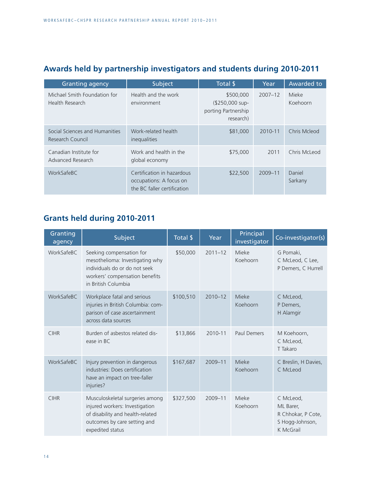### <span id="page-15-0"></span>**Awards held by partnership investigators and students during 2010-2011**

| <b>Granting agency</b>                             | Subject                                                                              | Total \$                                                         | Year        | Awarded to        |
|----------------------------------------------------|--------------------------------------------------------------------------------------|------------------------------------------------------------------|-------------|-------------------|
| Michael Smith Foundation for<br>Health Research    | Health and the work<br>environment                                                   | \$500,000<br>(\$250,000 sup-<br>porting Partnership<br>research) | $2007 - 12$ | Mieke<br>Koehoorn |
| Social Sciences and Humanities<br>Research Council | Work-related health<br>inequalities                                                  | \$81,000                                                         | 2010-11     | Chris Mcleod      |
| Canadian Institute for<br>Advanced Research        | Work and health in the<br>global economy                                             | \$75,000                                                         | 2011        | Chris McLeod      |
| WorkSafeBC                                         | Certification in hazardous<br>occupations: A focus on<br>the BC faller certification | \$22,500                                                         | 2009-11     | Daniel<br>Sarkany |

### **Grants held during 2010-2011**

| Granting<br>agency | Subject                                                                                                                                                   | Total \$  | Year        | Principal<br>investigator | Co-investigator(s)                                                           |
|--------------------|-----------------------------------------------------------------------------------------------------------------------------------------------------------|-----------|-------------|---------------------------|------------------------------------------------------------------------------|
| WorkSafeBC         | Seeking compensation for<br>mesothelioma: Investigating why<br>individuals do or do not seek<br>workers' compensation benefits<br>in British Columbia     | \$50,000  | $2011 - 12$ | Mieke<br>Koehoorn         | G Pomaki,<br>C McLeod, C Lee,<br>P Demers, C Hurrell                         |
| WorkSafeBC         | Workplace fatal and serious<br>injuries in British Columbia: com-<br>parison of case ascertainment<br>across data sources                                 | \$100,510 | $2010 - 12$ | Mieke<br>Koehoorn         | C McLeod,<br>P Demers,<br>H Alamgir                                          |
| <b>CIHR</b>        | Burden of asbestos related dis-<br>ease in BC                                                                                                             | \$13,866  | 2010-11     | <b>Paul Demers</b>        | M Koehoorn,<br>C McLeod,<br>T Takaro                                         |
| WorkSafeBC         | Injury prevention in dangerous<br>industries: Does certification<br>have an impact on tree-faller<br>injuries?                                            | \$167,687 | $2009 - 11$ | Mieke<br>Koehoorn         | C Breslin, H Davies,<br>C McLeod                                             |
| <b>CIHR</b>        | Musculoskeletal surgeries among<br>injured workers: Investigation<br>of disability and health-related<br>outcomes by care setting and<br>expedited status | \$327,500 | 2009-11     | Mieke<br>Koehoorn         | C McLeod,<br>ML Barer,<br>R Chhokar, P Cote,<br>S Hogg-Johnson,<br>K McGrail |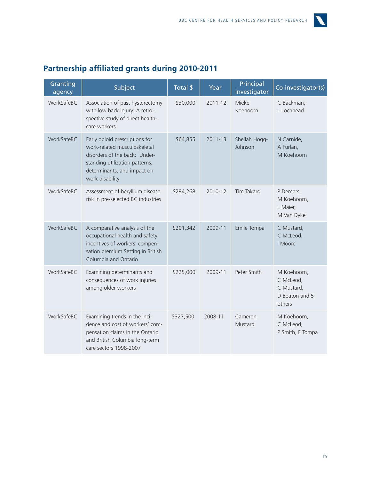

| Granting<br>agency | Subject                                                                                                                                                                             | Total \$  | Year        | Principal<br>investigator | Co-investigator(s)                                                 |
|--------------------|-------------------------------------------------------------------------------------------------------------------------------------------------------------------------------------|-----------|-------------|---------------------------|--------------------------------------------------------------------|
| WorkSafeBC         | Association of past hysterectomy<br>with low back injury: A retro-<br>spective study of direct health-<br>care workers                                                              | \$30,000  | 2011-12     | Mieke<br>Koehoorn         | C Backman,<br>L Lochhead                                           |
| WorkSafeBC         | Early opioid prescriptions for<br>work-related musculoskeletal<br>disorders of the back: Under-<br>standing utilization patterns,<br>determinants, and impact on<br>work disability | \$64,855  | $2011 - 13$ | Sheilah Hogg-<br>Johnson  | N Carnide,<br>A Furlan,<br>M Koehoorn                              |
| WorkSafeBC         | Assessment of beryllium disease<br>risk in pre-selected BC industries                                                                                                               | \$294,268 | 2010-12     | Tim Takaro                | P Demers,<br>M Koehoorn,<br>L Maier,<br>M Van Dyke                 |
| WorkSafeBC         | A comparative analysis of the<br>occupational health and safety<br>incentives of workers' compen-<br>sation premium Setting in British<br>Columbia and Ontario                      | \$201,342 | 2009-11     | Emile Tompa               | C Mustard,<br>C McLeod,<br>I Moore                                 |
| WorkSafeBC         | Examining determinants and<br>consequences of work injuries<br>among older workers                                                                                                  | \$225,000 | 2009-11     | Peter Smith               | M Koehoorn,<br>C McLeod,<br>C Mustard,<br>D Beaton and 5<br>others |
| WorkSafeBC         | Examining trends in the inci-<br>dence and cost of workers' com-<br>pensation claims in the Ontario<br>and British Columbia long-term<br>care sectors 1998-2007                     | \$327,500 | 2008-11     | Cameron<br>Mustard        | M Koehoorn,<br>C McLeod,<br>P Smith, E Tompa                       |

### <span id="page-16-0"></span>**Partnership affiliated grants during 2010-2011**